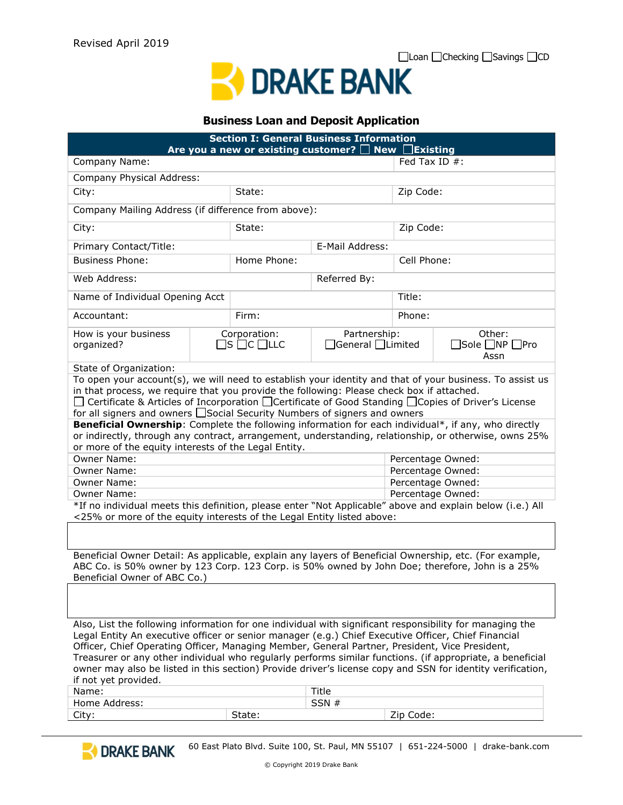

#### **Business Loan and Deposit Application**

| <b>Section I: General Business Information</b><br>Are you a new or existing customer? $\Box$ New $\Box$ Existing                                                                                                                                                                                                                                                                                                                                                                                                                                                                                             |                                                       |                 |                   |                                                                                                        |                   |  |
|--------------------------------------------------------------------------------------------------------------------------------------------------------------------------------------------------------------------------------------------------------------------------------------------------------------------------------------------------------------------------------------------------------------------------------------------------------------------------------------------------------------------------------------------------------------------------------------------------------------|-------------------------------------------------------|-----------------|-------------------|--------------------------------------------------------------------------------------------------------|-------------------|--|
| Company Name:                                                                                                                                                                                                                                                                                                                                                                                                                                                                                                                                                                                                |                                                       |                 | Fed Tax ID $#$ :  |                                                                                                        |                   |  |
| Company Physical Address:                                                                                                                                                                                                                                                                                                                                                                                                                                                                                                                                                                                    |                                                       |                 |                   |                                                                                                        |                   |  |
| City:                                                                                                                                                                                                                                                                                                                                                                                                                                                                                                                                                                                                        |                                                       | State:          |                   |                                                                                                        | Zip Code:         |  |
| Company Mailing Address (if difference from above):                                                                                                                                                                                                                                                                                                                                                                                                                                                                                                                                                          |                                                       |                 |                   |                                                                                                        |                   |  |
| City:                                                                                                                                                                                                                                                                                                                                                                                                                                                                                                                                                                                                        |                                                       | State:          |                   | Zip Code:                                                                                              |                   |  |
| Primary Contact/Title:                                                                                                                                                                                                                                                                                                                                                                                                                                                                                                                                                                                       |                                                       | E-Mail Address: |                   |                                                                                                        |                   |  |
| <b>Business Phone:</b>                                                                                                                                                                                                                                                                                                                                                                                                                                                                                                                                                                                       |                                                       | Home Phone:     |                   |                                                                                                        | Cell Phone:       |  |
| Web Address:                                                                                                                                                                                                                                                                                                                                                                                                                                                                                                                                                                                                 |                                                       | Referred By:    |                   |                                                                                                        |                   |  |
| Name of Individual Opening Acct                                                                                                                                                                                                                                                                                                                                                                                                                                                                                                                                                                              |                                                       |                 |                   | Title:                                                                                                 |                   |  |
| Accountant:                                                                                                                                                                                                                                                                                                                                                                                                                                                                                                                                                                                                  |                                                       | Firm:           |                   | Phone:                                                                                                 |                   |  |
| How is your business<br>organized?                                                                                                                                                                                                                                                                                                                                                                                                                                                                                                                                                                           | Corporation:<br>$\square$ s $\square$ c $\square$ llc |                 |                   | Partnership:<br>Other:<br>$\exists$ General $\Box$ Limited<br>$\Box$ Sole $\Box$ NP $\Box$ Pro<br>Assn |                   |  |
| State of Organization:                                                                                                                                                                                                                                                                                                                                                                                                                                                                                                                                                                                       |                                                       |                 |                   |                                                                                                        |                   |  |
| To open your account(s), we will need to establish your identity and that of your business. To assist us<br>in that process, we require that you provide the following: Please check box if attached.<br>□ Certificate & Articles of Incorporation □ Certificate of Good Standing □ Copies of Driver's License<br>for all signers and owners □ Social Security Numbers of signers and owners<br>Beneficial Ownership: Complete the following information for each individual*, if any, who directly<br>or indirectly, through any contract, arrangement, understanding, relationship, or otherwise, owns 25% |                                                       |                 |                   |                                                                                                        |                   |  |
| or more of the equity interests of the Legal Entity.<br>Owner Name:<br>Percentage Owned:                                                                                                                                                                                                                                                                                                                                                                                                                                                                                                                     |                                                       |                 |                   |                                                                                                        |                   |  |
| Owner Name:                                                                                                                                                                                                                                                                                                                                                                                                                                                                                                                                                                                                  |                                                       |                 |                   |                                                                                                        | Percentage Owned: |  |
| Owner Name:                                                                                                                                                                                                                                                                                                                                                                                                                                                                                                                                                                                                  |                                                       |                 | Percentage Owned: |                                                                                                        |                   |  |
| Owner Name:                                                                                                                                                                                                                                                                                                                                                                                                                                                                                                                                                                                                  |                                                       |                 | Percentage Owned: |                                                                                                        |                   |  |
| *If no individual meets this definition, please enter "Not Applicable" above and explain below (i.e.) All<br><25% or more of the equity interests of the Legal Entity listed above:                                                                                                                                                                                                                                                                                                                                                                                                                          |                                                       |                 |                   |                                                                                                        |                   |  |
| Beneficial Owner Detail: As applicable, explain any layers of Beneficial Ownership, etc. (For example,<br>ABC Co. is 50% owner by 123 Corp. 123 Corp. is 50% owned by John Doe; therefore, John is a 25%<br>Beneficial Owner of ABC Co.)                                                                                                                                                                                                                                                                                                                                                                     |                                                       |                 |                   |                                                                                                        |                   |  |
|                                                                                                                                                                                                                                                                                                                                                                                                                                                                                                                                                                                                              |                                                       |                 |                   |                                                                                                        |                   |  |
| Also, List the following information for one individual with significant responsibility for managing the<br>Legal Entity An executive officer or senior manager (e.g.) Chief Executive Officer, Chief Financial<br>Officer, Chief Operating Officer, Managing Member, General Partner, President, Vice President,<br>Treasurer or any other individual who regularly performs similar functions. (if appropriate, a beneficial<br>owner may also be listed in this section) Provide driver's license copy and SSN for identity verification,<br>if not yet provided.                                         |                                                       |                 |                   |                                                                                                        |                   |  |
| Name:                                                                                                                                                                                                                                                                                                                                                                                                                                                                                                                                                                                                        |                                                       |                 | Title             |                                                                                                        |                   |  |
| Home Address:                                                                                                                                                                                                                                                                                                                                                                                                                                                                                                                                                                                                |                                                       |                 | SSN #             |                                                                                                        |                   |  |
| City:                                                                                                                                                                                                                                                                                                                                                                                                                                                                                                                                                                                                        |                                                       | State:          |                   | Zip Code:                                                                                              |                   |  |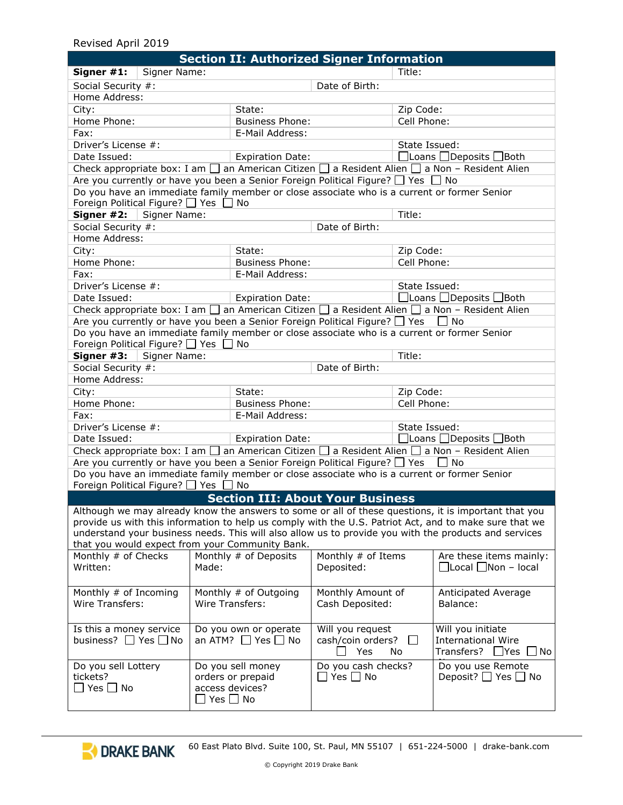### Revised April 2019

| <b>Section II: Authorized Signer Information</b>                                                                                                                                                                                                                                                                                                                           |                                                                                                              |                                           |                                                     |                                                                                                              |                                                                                   |  |
|----------------------------------------------------------------------------------------------------------------------------------------------------------------------------------------------------------------------------------------------------------------------------------------------------------------------------------------------------------------------------|--------------------------------------------------------------------------------------------------------------|-------------------------------------------|-----------------------------------------------------|--------------------------------------------------------------------------------------------------------------|-----------------------------------------------------------------------------------|--|
| Signer Name:<br>Signer #1:                                                                                                                                                                                                                                                                                                                                                 |                                                                                                              | Title:                                    |                                                     |                                                                                                              |                                                                                   |  |
| Social Security #:                                                                                                                                                                                                                                                                                                                                                         | Date of Birth:                                                                                               |                                           |                                                     |                                                                                                              |                                                                                   |  |
| Home Address:                                                                                                                                                                                                                                                                                                                                                              |                                                                                                              |                                           |                                                     |                                                                                                              |                                                                                   |  |
| City:                                                                                                                                                                                                                                                                                                                                                                      |                                                                                                              | State:                                    |                                                     | Zip Code:                                                                                                    |                                                                                   |  |
| Home Phone:                                                                                                                                                                                                                                                                                                                                                                |                                                                                                              |                                           |                                                     | Cell Phone:                                                                                                  |                                                                                   |  |
| Fax:                                                                                                                                                                                                                                                                                                                                                                       |                                                                                                              | <b>Business Phone:</b><br>E-Mail Address: |                                                     |                                                                                                              |                                                                                   |  |
| Driver's License #:                                                                                                                                                                                                                                                                                                                                                        |                                                                                                              |                                           |                                                     | State Issued:                                                                                                |                                                                                   |  |
| Date Issued:                                                                                                                                                                                                                                                                                                                                                               |                                                                                                              | <b>Expiration Date:</b>                   |                                                     | $\Box$ Loans $\Box$ Deposits $\Box$ Both                                                                     |                                                                                   |  |
|                                                                                                                                                                                                                                                                                                                                                                            |                                                                                                              |                                           |                                                     | Check appropriate box: I am $\Box$ an American Citizen $\Box$ a Resident Alien $\Box$ a Non – Resident Alien |                                                                                   |  |
| Are you currently or have you been a Senior Foreign Political Figure? $\Box$ Yes $\Box$ No                                                                                                                                                                                                                                                                                 |                                                                                                              |                                           |                                                     |                                                                                                              |                                                                                   |  |
| Do you have an immediate family member or close associate who is a current or former Senior<br>Foreign Political Figure? $\Box$ Yes $\Box$ No                                                                                                                                                                                                                              |                                                                                                              |                                           |                                                     |                                                                                                              |                                                                                   |  |
| Signer #2:<br>Signer Name:                                                                                                                                                                                                                                                                                                                                                 |                                                                                                              |                                           |                                                     | Title:                                                                                                       |                                                                                   |  |
| Social Security #:                                                                                                                                                                                                                                                                                                                                                         |                                                                                                              | Date of Birth:                            |                                                     |                                                                                                              |                                                                                   |  |
| Home Address:                                                                                                                                                                                                                                                                                                                                                              |                                                                                                              |                                           |                                                     |                                                                                                              |                                                                                   |  |
| City:                                                                                                                                                                                                                                                                                                                                                                      |                                                                                                              | State:                                    |                                                     |                                                                                                              |                                                                                   |  |
| Home Phone:                                                                                                                                                                                                                                                                                                                                                                |                                                                                                              | <b>Business Phone:</b>                    |                                                     | Zip Code:<br>Cell Phone:                                                                                     |                                                                                   |  |
| Fax:                                                                                                                                                                                                                                                                                                                                                                       |                                                                                                              | E-Mail Address:                           |                                                     |                                                                                                              |                                                                                   |  |
| Driver's License #:                                                                                                                                                                                                                                                                                                                                                        |                                                                                                              |                                           |                                                     | State Issued:                                                                                                |                                                                                   |  |
| Date Issued:                                                                                                                                                                                                                                                                                                                                                               |                                                                                                              |                                           |                                                     |                                                                                                              | □Loans □Deposits □Both                                                            |  |
|                                                                                                                                                                                                                                                                                                                                                                            |                                                                                                              | <b>Expiration Date:</b>                   |                                                     |                                                                                                              |                                                                                   |  |
| Check appropriate box: I am $\square$ an American Citizen $\square$ a Resident Alien $\square$ a Non - Resident Alien                                                                                                                                                                                                                                                      |                                                                                                              |                                           |                                                     |                                                                                                              |                                                                                   |  |
| Are you currently or have you been a Senior Foreign Political Figure? □ Yes                                                                                                                                                                                                                                                                                                |                                                                                                              |                                           |                                                     |                                                                                                              | No                                                                                |  |
| Do you have an immediate family member or close associate who is a current or former Senior                                                                                                                                                                                                                                                                                |                                                                                                              |                                           |                                                     |                                                                                                              |                                                                                   |  |
| Foreign Political Figure? 7 Yes                                                                                                                                                                                                                                                                                                                                            |                                                                                                              | No                                        |                                                     |                                                                                                              |                                                                                   |  |
| Signer Name:<br>Signer #3:                                                                                                                                                                                                                                                                                                                                                 |                                                                                                              |                                           |                                                     |                                                                                                              | Title:                                                                            |  |
| Social Security #:<br>Home Address:                                                                                                                                                                                                                                                                                                                                        |                                                                                                              |                                           | Date of Birth:                                      |                                                                                                              |                                                                                   |  |
|                                                                                                                                                                                                                                                                                                                                                                            |                                                                                                              |                                           |                                                     |                                                                                                              |                                                                                   |  |
| City:                                                                                                                                                                                                                                                                                                                                                                      |                                                                                                              | State:                                    |                                                     | Zip Code:<br>Cell Phone:                                                                                     |                                                                                   |  |
|                                                                                                                                                                                                                                                                                                                                                                            | Home Phone:                                                                                                  |                                           | <b>Business Phone:</b>                              |                                                                                                              |                                                                                   |  |
| Fax:                                                                                                                                                                                                                                                                                                                                                                       |                                                                                                              | E-Mail Address:                           |                                                     |                                                                                                              |                                                                                   |  |
|                                                                                                                                                                                                                                                                                                                                                                            | Driver's License #:                                                                                          |                                           |                                                     |                                                                                                              | State Issued:                                                                     |  |
| Date Issued:                                                                                                                                                                                                                                                                                                                                                               |                                                                                                              | <b>Expiration Date:</b>                   |                                                     | $\Box$ Loans $\Box$ Deposits $\Box$ Both                                                                     |                                                                                   |  |
|                                                                                                                                                                                                                                                                                                                                                                            | Check appropriate box: I am $\Box$ an American Citizen $\Box$ a Resident Alien $\Box$ a Non – Resident Alien |                                           |                                                     |                                                                                                              |                                                                                   |  |
| Are you currently or have you been a Senior Foreign Political Figure? □ Yes<br>l No                                                                                                                                                                                                                                                                                        |                                                                                                              |                                           |                                                     |                                                                                                              |                                                                                   |  |
| Do you have an immediate family member or close associate who is a current or former Senior                                                                                                                                                                                                                                                                                |                                                                                                              |                                           |                                                     |                                                                                                              |                                                                                   |  |
| Foreign Political Figure? $\Box$ Yes $\Box$ No                                                                                                                                                                                                                                                                                                                             |                                                                                                              |                                           |                                                     |                                                                                                              |                                                                                   |  |
|                                                                                                                                                                                                                                                                                                                                                                            |                                                                                                              |                                           | <b>Section III: About Your Business</b>             |                                                                                                              |                                                                                   |  |
| Although we may already know the answers to some or all of these questions, it is important that you<br>provide us with this information to help us comply with the U.S. Patriot Act, and to make sure that we<br>understand your business needs. This will also allow us to provide you with the products and services<br>that you would expect from your Community Bank. |                                                                                                              |                                           |                                                     |                                                                                                              |                                                                                   |  |
| Monthly # of Checks                                                                                                                                                                                                                                                                                                                                                        |                                                                                                              | Monthly # of Deposits                     | Monthly # of Items                                  |                                                                                                              | Are these items mainly:                                                           |  |
| Written:                                                                                                                                                                                                                                                                                                                                                                   | Made:                                                                                                        |                                           | Deposited:                                          |                                                                                                              | $\Box$ Local $\Box$ Non – local                                                   |  |
| Monthly # of Incoming<br>Wire Transfers:                                                                                                                                                                                                                                                                                                                                   | Monthly # of Outgoing<br>Wire Transfers:                                                                     |                                           | Monthly Amount of<br>Cash Deposited:                |                                                                                                              | Anticipated Average<br>Balance:                                                   |  |
| Is this a money service<br>business? $\Box$ Yes $\Box$ No                                                                                                                                                                                                                                                                                                                  | Do you own or operate<br>an ATM? $\Box$ Yes $\Box$ No                                                        |                                           | Will you request<br>cash/coin orders?<br>Yes<br>No. |                                                                                                              | Will you initiate<br><b>International Wire</b><br>Transfers? $\Box$ Yes $\Box$ No |  |
| Do you sell Lottery<br>tickets?<br>$\square$ Yes $\square$ No                                                                                                                                                                                                                                                                                                              | Do you sell money<br>orders or prepaid<br>access devices?<br>$\Box$ Yes $\Box$ No                            |                                           | Do you cash checks?<br>$\Box$ Yes $\Box$ No         |                                                                                                              | Do you use Remote<br>Deposit? $\Box$ Yes $\Box$ No                                |  |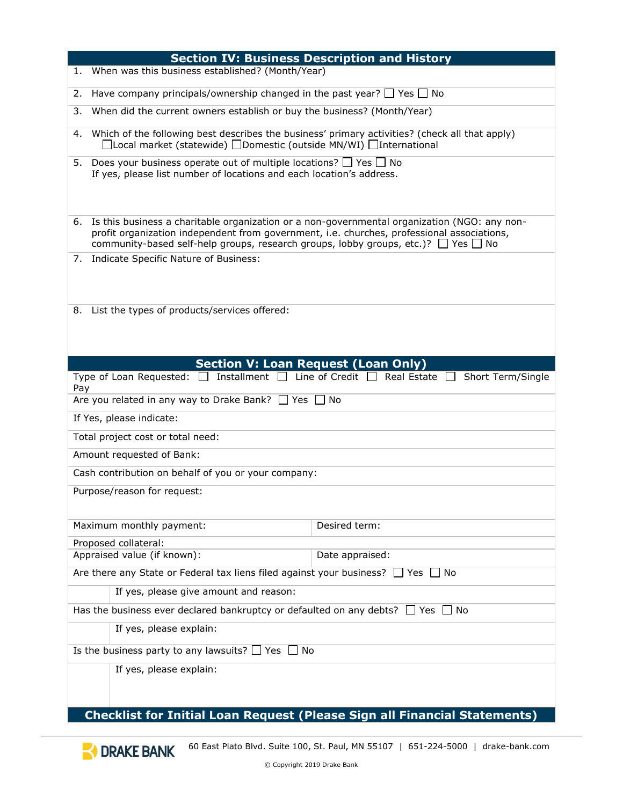| <b>Section IV: Business Description and History</b>                                                                                                                                                                                                                                              |  |  |  |
|--------------------------------------------------------------------------------------------------------------------------------------------------------------------------------------------------------------------------------------------------------------------------------------------------|--|--|--|
| When was this business established? (Month/Year)<br>1.                                                                                                                                                                                                                                           |  |  |  |
| Have company principals/ownership changed in the past year? $\Box$ Yes $\Box$ No                                                                                                                                                                                                                 |  |  |  |
| When did the current owners establish or buy the business? (Month/Year)                                                                                                                                                                                                                          |  |  |  |
| Which of the following best describes the business' primary activities? (check all that apply)<br>4.<br>□Local market (statewide) □Domestic (outside MN/WI) □International                                                                                                                       |  |  |  |
| Does your business operate out of multiple locations? $\Box$ Yes $\Box$ No<br>5.<br>If yes, please list number of locations and each location's address.                                                                                                                                         |  |  |  |
| Is this business a charitable organization or a non-governmental organization (NGO: any non-<br>6.<br>profit organization independent from government, i.e. churches, professional associations,<br>community-based self-help groups, research groups, lobby groups, etc.)? $\Box$ Yes $\Box$ No |  |  |  |
| Indicate Specific Nature of Business:<br>7.                                                                                                                                                                                                                                                      |  |  |  |
| List the types of products/services offered:<br>8.                                                                                                                                                                                                                                               |  |  |  |
| <b>Section V: Loan Request (Loan Only)</b>                                                                                                                                                                                                                                                       |  |  |  |
| Type of Loan Requested: $\Box$ Installment $\Box$ Line of Credit $\Box$ Real Estate $\Box$<br>Short Term/Single<br>Pay                                                                                                                                                                           |  |  |  |
| Are you related in any way to Drake Bank? $\Box$ Yes $\Box$ No                                                                                                                                                                                                                                   |  |  |  |
| If Yes, please indicate:                                                                                                                                                                                                                                                                         |  |  |  |
| Total project cost or total need:                                                                                                                                                                                                                                                                |  |  |  |
| Amount requested of Bank:                                                                                                                                                                                                                                                                        |  |  |  |
| Cash contribution on behalf of you or your company:                                                                                                                                                                                                                                              |  |  |  |
| Purpose/reason for request:                                                                                                                                                                                                                                                                      |  |  |  |
| Maximum monthly payment:<br>Desired term:                                                                                                                                                                                                                                                        |  |  |  |
| Proposed collateral:                                                                                                                                                                                                                                                                             |  |  |  |
| Appraised value (if known):<br>Date appraised:                                                                                                                                                                                                                                                   |  |  |  |
| Are there any State or Federal tax liens filed against your business? $\Box$ Yes $\Box$ No                                                                                                                                                                                                       |  |  |  |
| If yes, please give amount and reason:                                                                                                                                                                                                                                                           |  |  |  |
| Has the business ever declared bankruptcy or defaulted on any debts? $\Box$ Yes $\Box$ No                                                                                                                                                                                                        |  |  |  |
| If yes, please explain:                                                                                                                                                                                                                                                                          |  |  |  |
| Is the business party to any lawsuits? $\Box$ Yes $\Box$ No                                                                                                                                                                                                                                      |  |  |  |
| If yes, please explain:                                                                                                                                                                                                                                                                          |  |  |  |
| Checklist for Initial Loan Request (Please Sign all Financial Statements)                                                                                                                                                                                                                        |  |  |  |

#### **Checklist for Initial Loan Request (Please Sign all Financial Statements)**

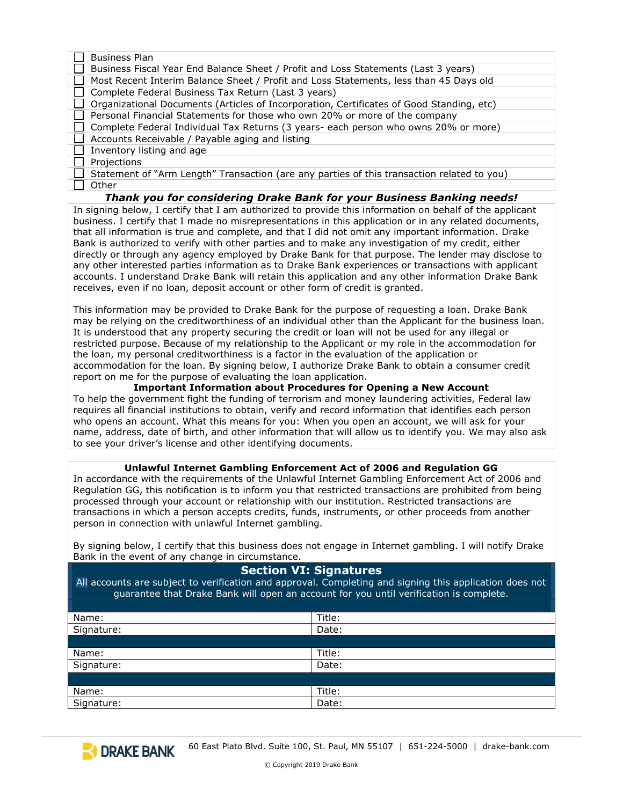| <b>Business Plan</b>                                                                       |
|--------------------------------------------------------------------------------------------|
| Business Fiscal Year End Balance Sheet / Profit and Loss Statements (Last 3 years)         |
| Most Recent Interim Balance Sheet / Profit and Loss Statements, less than 45 Days old      |
| Complete Federal Business Tax Return (Last 3 years)                                        |
| Organizational Documents (Articles of Incorporation, Certificates of Good Standing, etc)   |
| Personal Financial Statements for those who own 20% or more of the company                 |
| Complete Federal Individual Tax Returns (3 years- each person who owns 20% or more)        |
| Accounts Receivable / Payable aging and listing                                            |
| Inventory listing and age                                                                  |
| Projections                                                                                |
| Statement of "Arm Length" Transaction (are any parties of this transaction related to you) |
| Other                                                                                      |
| Thank you for considering Drake Bank for your Business Banking needs!                      |
|                                                                                            |

In signing below, I certify that I am authorized to provide this information on behalf of the applicant business. I certify that I made no misrepresentations in this application or in any related documents, that all information is true and complete, and that I did not omit any important information. Drake Bank is authorized to verify with other parties and to make any investigation of my credit, either directly or through any agency employed by Drake Bank for that purpose. The lender may disclose to any other interested parties information as to Drake Bank experiences or transactions with applicant accounts. I understand Drake Bank will retain this application and any other information Drake Bank receives, even if no loan, deposit account or other form of credit is granted.

This information may be provided to Drake Bank for the purpose of requesting a loan. Drake Bank may be relying on the creditworthiness of an individual other than the Applicant for the business loan. It is understood that any property securing the credit or loan will not be used for any illegal or restricted purpose. Because of my relationship to the Applicant or my role in the accommodation for the loan, my personal creditworthiness is a factor in the evaluation of the application or accommodation for the loan. By signing below, I authorize Drake Bank to obtain a consumer credit report on me for the purpose of evaluating the loan application.

**Important Information about Procedures for Opening a New Account** To help the government fight the funding of terrorism and money laundering activities, Federal law requires all financial institutions to obtain, verify and record information that identifies each person who opens an account. What this means for you: When you open an account, we will ask for your name, address, date of birth, and other information that will allow us to identify you. We may also ask to see your driver's license and other identifying documents.

#### **Unlawful Internet Gambling Enforcement Act of 2006 and Regulation GG**

In accordance with the requirements of the Unlawful Internet Gambling Enforcement Act of 2006 and Regulation GG, this notification is to inform you that restricted transactions are prohibited from being processed through your account or relationship with our institution. Restricted transactions are transactions in which a person accepts credits, funds, instruments, or other proceeds from another person in connection with unlawful Internet gambling.

By signing below, I certify that this business does not engage in Internet gambling. I will notify Drake Bank in the event of any change in circumstance.

#### **Section VI: Signatures**

All accounts are subject to verification and approval. Completing and signing this application does not guarantee that Drake Bank will open an account for you until verification is complete.

| Name:      | Title: |
|------------|--------|
| Signature: | Date:  |
|            |        |
| Name:      | Title: |
| Signature: | Date:  |
|            |        |
| Name:      | Title: |
| Signature: | Date:  |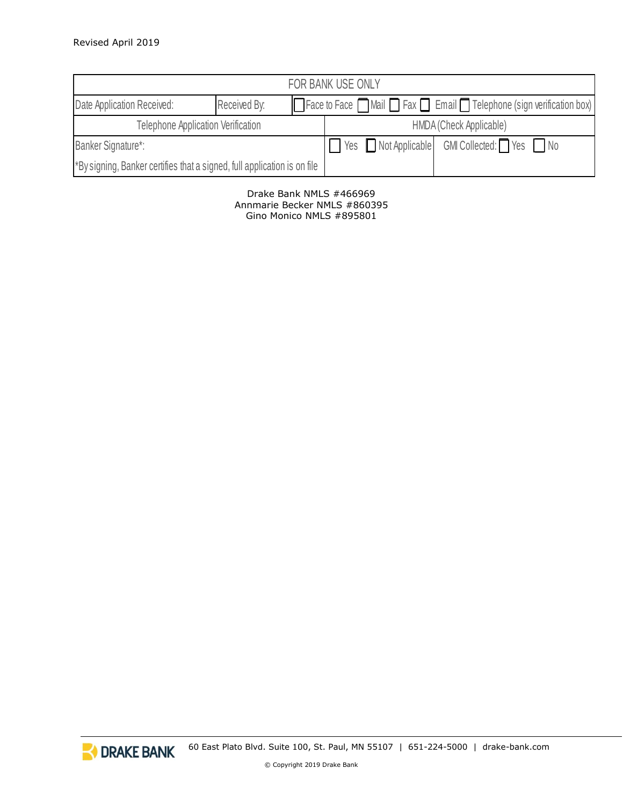| FOR BANK USE ONLY                                                        |              |  |                         |                                                                                                  |  |
|--------------------------------------------------------------------------|--------------|--|-------------------------|--------------------------------------------------------------------------------------------------|--|
| Date Application Received:                                               | Received By: |  |                         | $\Box$ Face to Face $\Box$ Mail $\Box$ Fax $\Box$ Email $\Box$ Telephone (sign verification box) |  |
| <b>Telephone Application Verification</b>                                |              |  | HMDA (Check Applicable) |                                                                                                  |  |
| <b>Banker Signature*:</b>                                                |              |  |                         | ■ Yes ■ Not Applicable GMI Collected: ■ Yes ■ No                                                 |  |
| *By signing, Banker certifies that a signed, full application is on file |              |  |                         |                                                                                                  |  |

#### Drake Bank NMLS #466969 Annmarie Becker NMLS #860395 Gino Monico NMLS #895801

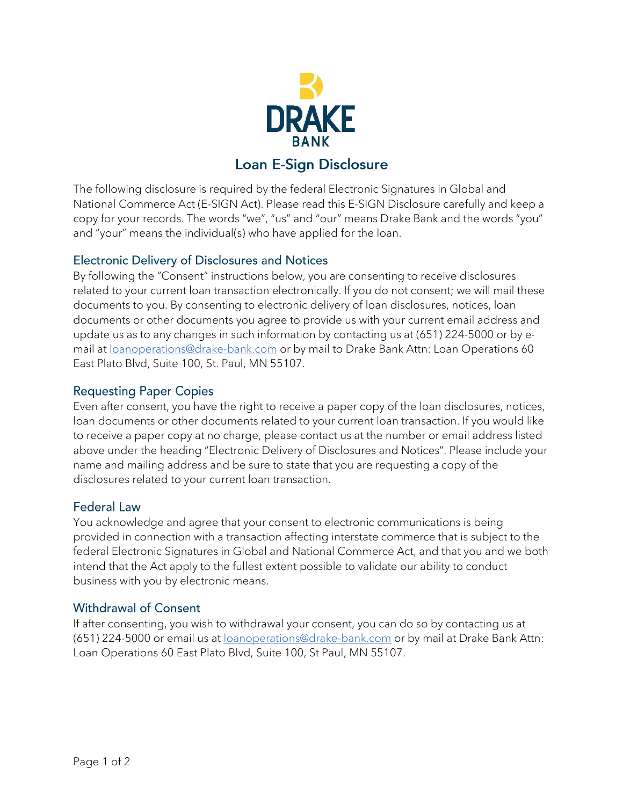

# **Loan E-Sign Disclosure**

The following disclosure is required by the federal Electronic Signatures in Global and National Commerce Act (E-SIGN Act). Please read this E-SIGN Disclosure carefully and keep a copy for your records. The words "we", "us" and "our" means Drake Bank and the words "you" and "your" means the individual(s) who have applied for the loan.

# **Electronic Delivery of Disclosures and Notices**

By following the "Consent" instructions below, you are consenting to receive disclosures related to your current loan transaction electronically. If you do not consent; we will mail these documents to you. By consenting to electronic delivery of loan disclosures, notices, loan documents or other documents you agree to provide us with your current email address and update us as to any changes in such information by contacting us at (651) 224-5000 or by email at **Loanoperations@drake-bank.com** or by mail to Drake Bank Attn: Loan Operations 60 East Plato Blvd, Suite 100, St. Paul, MN 55107.

### **Requesting Paper Copies**

Even after consent, you have the right to receive a paper copy of the loan disclosures, notices, loan documents or other documents related to your current loan transaction. If you would like to receive a paper copy at no charge, please contact us at the number or email address listed above under the heading "Electronic Delivery of Disclosures and Notices". Please include your name and mailing address and be sure to state that you are requesting a copy of the disclosures related to your current loan transaction.

#### **Federal Law**

You acknowledge and agree that your consent to electronic communications is being provided in connection with a transaction affecting interstate commerce that is subject to the federal Electronic Signatures in Global and National Commerce Act, and that you and we both intend that the Act apply to the fullest extent possible to validate our ability to conduct business with you by electronic means.

# **Withdrawal of Consent**

If after consenting, you wish to withdrawal your consent, you can do so by contacting us at (651) 224-5000 or email us at **loanoperations@drake-bank.com** or by mail at Drake Bank Attn: Loan Operations 60 East Plato Blvd, Suite 100, St Paul, MN 55107.